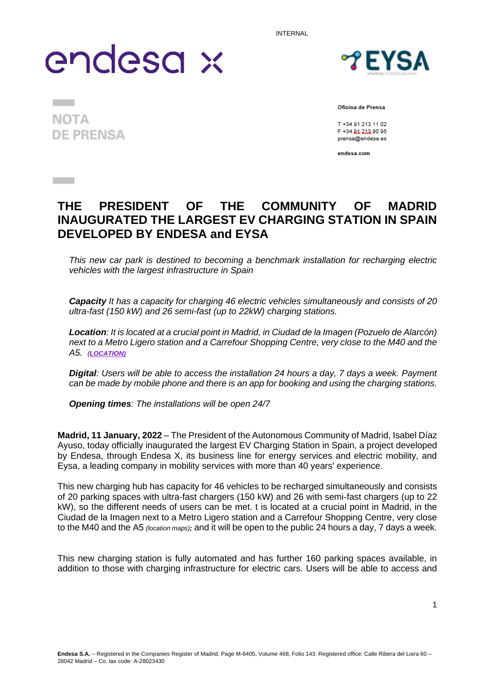INTERNAL

# endesa x

**TEYSA** 

**NOTA DE PRENSA** 

**Contract** 

**Contract** 

Oficina de Prensa

T +34 91 213 11 02 F +34 91 213 90 95 prensa@endesa.es

endesa.com

### **THE PRESIDENT OF THE COMMUNITY OF MADRID INAUGURATED THE LARGEST EV CHARGING STATION IN SPAIN DEVELOPED BY ENDESA and EYSA**

*This new car park is destined to becoming a benchmark installation for recharging electric vehicles with the largest infrastructure in Spain*

*Capacity It has a capacity for charging 46 electric vehicles simultaneously and consists of 20 ultra-fast (150 kW) and 26 semi-fast (up to 22kW) charging stations.* 

*Location: It is located at a crucial point in Madrid, in Ciudad de la Imagen (Pozuelo de Alarcón)*  next to a Metro Ligero station and a Carrefour Shopping Centre, very close to the M40 and the *A5. ([LOCATION\)](https://urldefense.com/v3/__https:/www.google.es/maps/place/C.*Juan*de*Ordu**Aa**A26*C.*Guadalupe*Mu**Aoz*Sampedro,*28223,*Madrid/@40.3973273,-3.7862681,17z/data=!3m1!4b1!4m5!3m4!1s0xd4188627f6cf34d:0x7b608ed24d4b29d1!8m2!3d40.3973273!4d-3.7840794?hl=es__;Kysrw7ErJSsrK8OxKysr!!OjemSMKBgg!3leFuhLDCrqyeM92KPXX90WDQvoeGMMik5XOkDW2vmUMPYduIfvCTdx9B9dFdv81tbw$)*

*Digital: Users will be able to access the installation 24 hours a day, 7 days a week. Payment can be made by mobile phone and there is an app for booking and using the charging stations.*

*Opening times: The installations will be open 24/7*

**Madrid, 11 January, 2022** – The President of the Autonomous Community of Madrid, Isabel Díaz Ayuso, today officially inaugurated the largest EV Charging Station in Spain, a project developed by Endesa, through Endesa X, its business line for energy services and electric mobility, and Eysa, a leading company in mobility services with more than 40 years' experience.

This new charging hub has capacity for 46 vehicles to be recharged simultaneously and consists of 20 parking spaces with ultra-fast chargers (150 kW) and 26 with semi-fast chargers (up to 22 kW), so the different needs of users can be met. t is located at a crucial point in Madrid, in the Ciudad de la Imagen next to a Metro Ligero station and a Carrefour Shopping Centre, very close to the M40 and the A5 *(locatio[n maps\)](https://urldefense.com/v3/__https:/www.google.es/maps/place/C.*Juan*de*Ordu**Aa**A26*C.*Guadalupe*Mu**Aoz*Sampedro,*28223,*Madrid/@40.3973273,-3.7862681,17z/data=!3m1!4b1!4m5!3m4!1s0xd4188627f6cf34d:0x7b608ed24d4b29d1!8m2!3d40.3973273!4d-3.7840794?hl=es__;Kysrw7ErJSsrK8OxKysr!!OjemSMKBgg!3leFuhLDCrqyeM92KPXX90WDQvoeGMMik5XOkDW2vmUMPYduIfvCTdx9B9dFdv81tbw$);* and it will be open to the public 24 hours a day, 7 days a week.

This new charging station is fully automated and has further 160 parking spaces available, in addition to those with charging infrastructure for electric cars. Users will be able to access and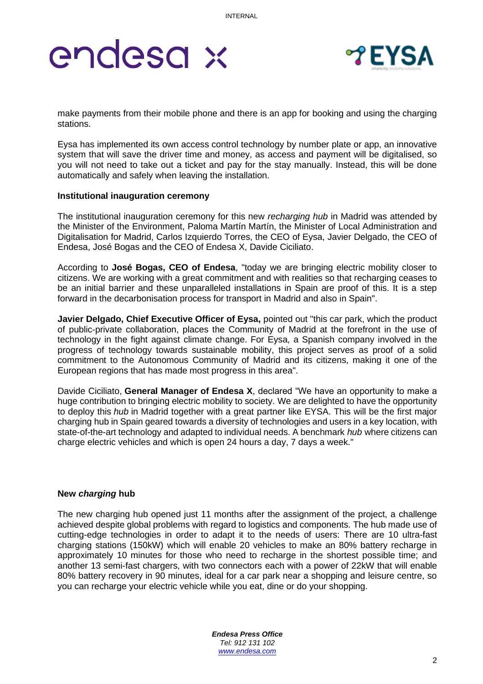## endesa x



make payments from their mobile phone and there is an app for booking and using the charging stations.

Eysa has implemented its own access control technology by number plate or app, an innovative system that will save the driver time and money, as access and payment will be digitalised, so you will not need to take out a ticket and pay for the stay manually. Instead, this will be done automatically and safely when leaving the installation.

### **Institutional inauguration ceremony**

The institutional inauguration ceremony for this new *recharging hub* in Madrid was attended by the Minister of the Environment, Paloma Martín Martín, the Minister of Local Administration and Digitalisation for Madrid, Carlos Izquierdo Torres, the CEO of Eysa, Javier Delgado, the CEO of Endesa, José Bogas and the CEO of Endesa X, Davide Ciciliato.

According to **José Bogas, CEO of Endesa**, "today we are bringing electric mobility closer to citizens. We are working with a great commitment and with realities so that recharging ceases to be an initial barrier and these unparalleled installations in Spain are proof of this. It is a step forward in the decarbonisation process for transport in Madrid and also in Spain".

**Javier Delgado, Chief Executive Officer of Eysa,** pointed out "this car park, which the product of public-private collaboration, places the Community of Madrid at the forefront in the use of technology in the fight against climate change. For Eysa, a Spanish company involved in the progress of technology towards sustainable mobility, this project serves as proof of a solid commitment to the Autonomous Community of Madrid and its citizens, making it one of the European regions that has made most progress in this area".

Davide Ciciliato, **General Manager of Endesa X**, declared "We have an opportunity to make a huge contribution to bringing electric mobility to society. We are delighted to have the opportunity to deploy this *hub* in Madrid together with a great partner like EYSA. This will be the first major charging hub in Spain geared towards a diversity of technologies and users in a key location, with state-of-the-art technology and adapted to individual needs. A benchmark *hub* where citizens can charge electric vehicles and which is open 24 hours a day, 7 days a week."

### **New** *charging* **hub**

The new charging hub opened just 11 months after the assignment of the project, a challenge achieved despite global problems with regard to logistics and components. The hub made use of cutting-edge technologies in order to adapt it to the needs of users: There are 10 ultra-fast charging stations (150kW) which will enable 20 vehicles to make an 80% battery recharge in approximately 10 minutes for those who need to recharge in the shortest possible time; and another 13 semi-fast chargers, with two connectors each with a power of 22kW that will enable 80% battery recovery in 90 minutes, ideal for a car park near a shopping and leisure centre, so you can recharge your electric vehicle while you eat, dine or do your shopping.

> *Endesa Press Office Tel: 912 131 102 [www.endesa.com](http://www.endesa.com/)*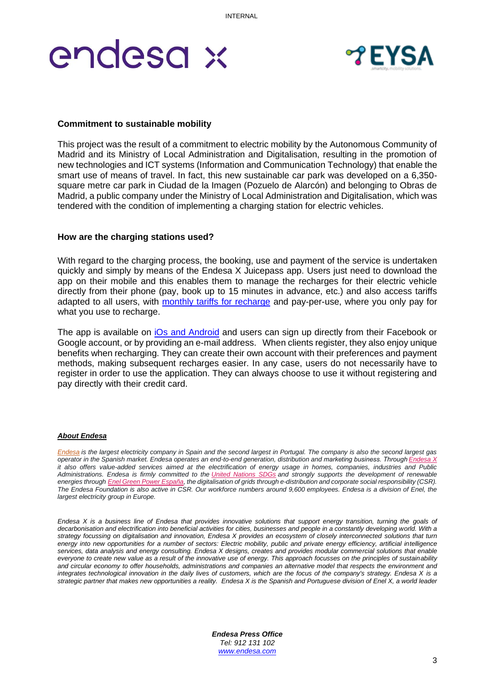## endesa x



### **Commitment to sustainable mobility**

This project was the result of a commitment to electric mobility by the Autonomous Community of Madrid and its Ministry of Local Administration and Digitalisation, resulting in the promotion of new technologies and ICT systems (Information and Communication Technology) that enable the smart use of means of travel. In fact, this new sustainable car park was developed on a 6,350 square metre car park in Ciudad de la Imagen (Pozuelo de Alarcón) and belonging to Obras de Madrid, a public company under the Ministry of Local Administration and Digitalisation, which was tendered with the condition of implementing a charging station for electric vehicles.

### **How are the charging stations used?**

With regard to the charging process, the booking, use and payment of the service is undertaken quickly and simply by means of the Endesa X Juicepass app. Users just need to download the app on their mobile and this enables them to manage the recharges for their electric vehicle directly from their phone (pay, book up to 15 minutes in advance, etc.) and also access tariffs adapted to all users, with [monthly tariffs for recharge](https://www.endesax.com/es/movilidad-electrica/productos/particulares/JuicePass) and pay-per-use, where you only pay for what you use to recharge.

The app is available on *iOs and Android* and users can sign up directly from their Facebook or Google account, or by providing an e-mail address. When clients register, they also enjoy unique benefits when recharging. They can create their own account with their preferences and payment methods, making subsequent recharges easier. In any case, users do not necessarily have to register in order to use the application. They can always choose to use it without registering and pay directly with their credit card.

#### *About Endesa*

*[Endesa](http://www.endesa.com/) is the largest electricity company in Spain and the second largest in Portugal. The company is also the second largest gas operator in the Spanish market. Endesa operates an end-to-end generation, distribution and marketing business. Throug[h Endesa X](https://www.endesax.com/es) it also offers value-added services aimed at the electrification of energy usage in homes, companies, industries and Public Administrations. Endesa is firmly committed to the [United Nations SDGs](https://www.endesa.com/es/nuestro-compromiso/nuestro-compromiso/objetivos-desarrollo-sostenible) and strongly supports the development of renewable energies through [Enel Green Power España,](https://www.enelgreenpower.com/es) the digitalisation of grids through e-distribution and corporate social responsibility (CSR). The Endesa Foundation is also active in CSR. Our workforce numbers around 9,600 employees. Endesa is a division of Enel, the largest electricity group in Europe.*

*Endesa X is a business line of Endesa that provides innovative solutions that support energy transition, turning the goals of*  decarbonisation and electrification into beneficial activities for cities, businesses and people in a constantly developing world. With a *strategy focussing on digitalisation and innovation, Endesa X provides an ecosystem of closely interconnected solutions that turn energy into new opportunities for a number of sectors: Electric mobility, public and private energy efficiency, artificial intelligence services, data analysis and energy consulting. Endesa X designs, creates and provides modular commercial solutions that enable everyone to create new value as a result of the innovative use of energy. This approach focusses on the principles of sustainability and circular economy to offer households, administrations and companies an alternative model that respects the environment and integrates technological innovation in the daily lives of customers, which are the focus of the company's strategy. Endesa X is a strategic partner that makes new opportunities a reality. Endesa X is the Spanish and Portuguese division of Enel X, a world leader* 

> *Endesa Press Office Tel: 912 131 102 [www.endesa.com](http://www.endesa.com/)*